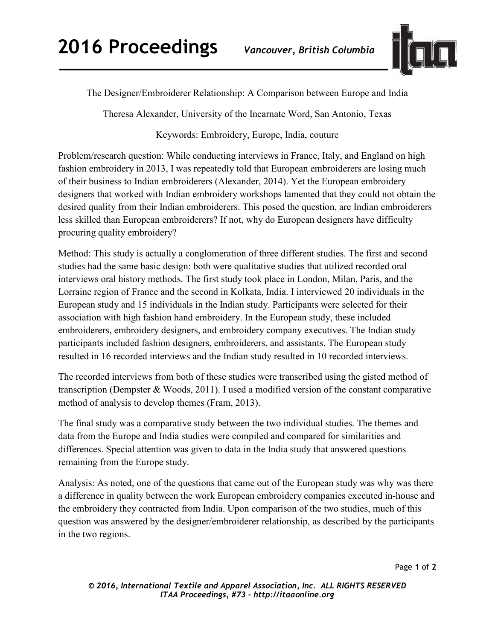

The Designer/Embroiderer Relationship: A Comparison between Europe and India

Theresa Alexander, University of the Incarnate Word, San Antonio, Texas

## Keywords: Embroidery, Europe, India, couture

Problem/research question: While conducting interviews in France, Italy, and England on high fashion embroidery in 2013, I was repeatedly told that European embroiderers are losing much of their business to Indian embroiderers (Alexander, 2014). Yet the European embroidery designers that worked with Indian embroidery workshops lamented that they could not obtain the desired quality from their Indian embroiderers. This posed the question, are Indian embroiderers less skilled than European embroiderers? If not, why do European designers have difficulty procuring quality embroidery?

Method: This study is actually a conglomeration of three different studies. The first and second studies had the same basic design: both were qualitative studies that utilized recorded oral interviews oral history methods. The first study took place in London, Milan, Paris, and the Lorraine region of France and the second in Kolkata, India. I interviewed 20 individuals in the European study and 15 individuals in the Indian study. Participants were selected for their association with high fashion hand embroidery. In the European study, these included embroiderers, embroidery designers, and embroidery company executives. The Indian study participants included fashion designers, embroiderers, and assistants. The European study resulted in 16 recorded interviews and the Indian study resulted in 10 recorded interviews.

The recorded interviews from both of these studies were transcribed using the gisted method of transcription (Dempster & Woods, 2011). I used a modified version of the constant comparative method of analysis to develop themes (Fram, 2013).

The final study was a comparative study between the two individual studies. The themes and data from the Europe and India studies were compiled and compared for similarities and differences. Special attention was given to data in the India study that answered questions remaining from the Europe study.

Analysis: As noted, one of the questions that came out of the European study was why was there a difference in quality between the work European embroidery companies executed in-house and the embroidery they contracted from India. Upon comparison of the two studies, much of this question was answered by the designer/embroiderer relationship, as described by the participants in the two regions.